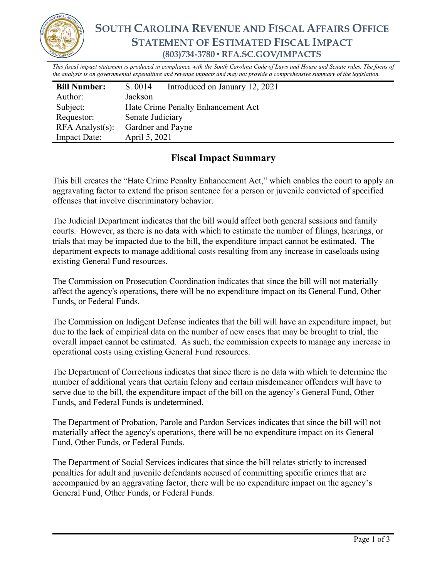

## **SOUTH CAROLINA REVENUE AND FISCAL AFFAIRS OFFICE STATEMENT OF ESTIMATED FISCAL IMPACT (803)734-3780 ▪ RFA.SC.GOV/IMPACTS**

*This fiscal impact statement is produced in compliance with the South Carolina Code of Laws and House and Senate rules. The focus of the analysis is on governmental expenditure and revenue impacts and may not provide a comprehensive summary of the legislation.*

| <b>Bill Number:</b>   | S. 0014                            | Introduced on January 12, 2021 |
|-----------------------|------------------------------------|--------------------------------|
| Author:               | Jackson                            |                                |
| Subject:              | Hate Crime Penalty Enhancement Act |                                |
| Requestor:            | Senate Judiciary                   |                                |
| $RFA$ Analyst $(s)$ : | Gardner and Payne                  |                                |
| <b>Impact Date:</b>   | April 5, 2021                      |                                |

## **Fiscal Impact Summary**

This bill creates the "Hate Crime Penalty Enhancement Act," which enables the court to apply an aggravating factor to extend the prison sentence for a person or juvenile convicted of specified offenses that involve discriminatory behavior.

The Judicial Department indicates that the bill would affect both general sessions and family courts. However, as there is no data with which to estimate the number of filings, hearings, or trials that may be impacted due to the bill, the expenditure impact cannot be estimated. The department expects to manage additional costs resulting from any increase in caseloads using existing General Fund resources.

The Commission on Prosecution Coordination indicates that since the bill will not materially affect the agency's operations, there will be no expenditure impact on its General Fund, Other Funds, or Federal Funds.

The Commission on Indigent Defense indicates that the bill will have an expenditure impact, but due to the lack of empirical data on the number of new cases that may be brought to trial, the overall impact cannot be estimated. As such, the commission expects to manage any increase in operational costs using existing General Fund resources.

The Department of Corrections indicates that since there is no data with which to determine the number of additional years that certain felony and certain misdemeanor offenders will have to serve due to the bill, the expenditure impact of the bill on the agency's General Fund, Other Funds, and Federal Funds is undetermined.

The Department of Probation, Parole and Pardon Services indicates that since the bill will not materially affect the agency's operations, there will be no expenditure impact on its General Fund, Other Funds, or Federal Funds.

The Department of Social Services indicates that since the bill relates strictly to increased penalties for adult and juvenile defendants accused of committing specific crimes that are accompanied by an aggravating factor, there will be no expenditure impact on the agency's General Fund, Other Funds, or Federal Funds.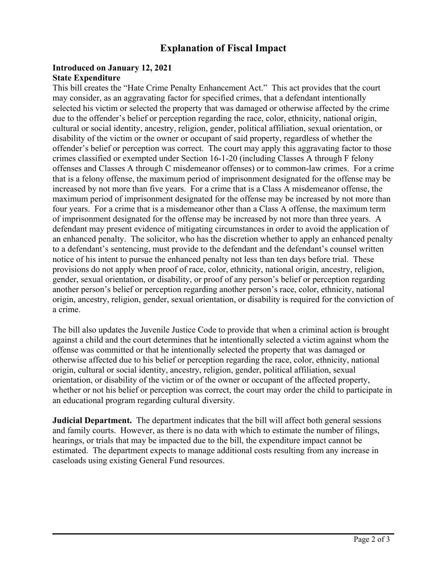## **Explanation of Fiscal Impact**

## **Introduced on January 12, 2021 State Expenditure**

This bill creates the "Hate Crime Penalty Enhancement Act." This act provides that the court may consider, as an aggravating factor for specified crimes, that a defendant intentionally selected his victim or selected the property that was damaged or otherwise affected by the crime due to the offender's belief or perception regarding the race, color, ethnicity, national origin, cultural or social identity, ancestry, religion, gender, political affiliation, sexual orientation, or disability of the victim or the owner or occupant of said property, regardless of whether the offender's belief or perception was correct. The court may apply this aggravating factor to those crimes classified or exempted under Section 16-1-20 (including Classes A through F felony offenses and Classes A through C misdemeanor offenses) or to common-law crimes. For a crime that is a felony offense, the maximum period of imprisonment designated for the offense may be increased by not more than five years. For a crime that is a Class A misdemeanor offense, the maximum period of imprisonment designated for the offense may be increased by not more than four years. For a crime that is a misdemeanor other than a Class A offense, the maximum term of imprisonment designated for the offense may be increased by not more than three years. A defendant may present evidence of mitigating circumstances in order to avoid the application of an enhanced penalty. The solicitor, who has the discretion whether to apply an enhanced penalty to a defendant's sentencing, must provide to the defendant and the defendant's counsel written notice of his intent to pursue the enhanced penalty not less than ten days before trial. These provisions do not apply when proof of race, color, ethnicity, national origin, ancestry, religion, gender, sexual orientation, or disability, or proof of any person's belief or perception regarding another person's belief or perception regarding another person's race, color, ethnicity, national origin, ancestry, religion, gender, sexual orientation, or disability is required for the conviction of a crime.

The bill also updates the Juvenile Justice Code to provide that when a criminal action is brought against a child and the court determines that he intentionally selected a victim against whom the offense was committed or that he intentionally selected the property that was damaged or otherwise affected due to his belief or perception regarding the race, color, ethnicity, national origin, cultural or social identity, ancestry, religion, gender, political affiliation, sexual orientation, or disability of the victim or of the owner or occupant of the affected property, whether or not his belief or perception was correct, the court may order the child to participate in an educational program regarding cultural diversity.

**Judicial Department.** The department indicates that the bill will affect both general sessions and family courts. However, as there is no data with which to estimate the number of filings, hearings, or trials that may be impacted due to the bill, the expenditure impact cannot be estimated. The department expects to manage additional costs resulting from any increase in caseloads using existing General Fund resources.